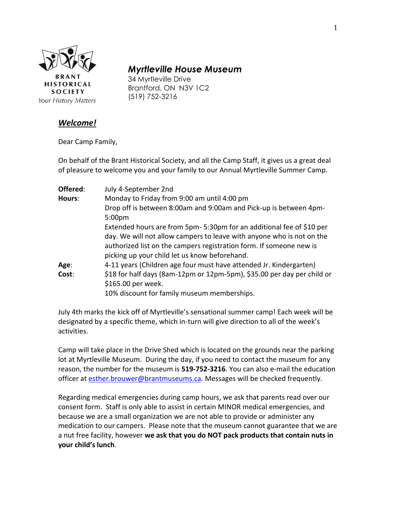

# *Myrtleville House Museum*

34 Myrtleville Drive Brantford, ON N3V 1C2 (519) 752-3216

### *Welcome!*

Dear Camp Family,

On behalf of the Brant Historical Society, and all the Camp Staff, it gives us a great deal of pleasure to welcome you and your family to our Annual Myrtleville Summer Camp.

| Offered: | July 4-September 2nd                                                    |
|----------|-------------------------------------------------------------------------|
| Hours:   | Monday to Friday from 9:00 am until 4:00 pm                             |
|          | Drop off is between 8:00am and 9:00am and Pick-up is between 4pm-       |
|          | 5:00 <sub>pm</sub>                                                      |
|          | Extended hours are from 5pm-5:30pm for an additional fee of \$10 per    |
|          | day. We will not allow campers to leave with anyone who is not on the   |
|          | authorized list on the campers registration form. If someone new is     |
|          | picking up your child let us know beforehand.                           |
| Age:     | 4-11 years (Children age four must have attended Jr. Kindergarten)      |
| Cost:    | \$18 for half days (8am-12pm or 12pm-5pm), \$35.00 per day per child or |
|          | \$165.00 per week.                                                      |
|          | 10% discount for family museum memberships.                             |

July 4th marks the kick off of Myrtleville's sensational summer camp! Each week will be designated by a specific theme, which in-turn will give direction to all of the week's activities.

Camp will take place in the Drive Shed which is located on the grounds near the parking lot at Myrtleville Museum. During the day, if you need to contact the museum for any reason, the number for the museum is **519-752-3216**. You can also e-mail the education officer at [esther.brouwer@brantmuseums.ca.](mailto:esther.brouwer@brantmuseums.ca) Messages will be checked frequently.

Regarding medical emergencies during camp hours, we ask that parents read over our consent form. Staff is only able to assist in certain MINOR medical emergencies, and because we are a small organization we are not able to provide or administer any medication to our campers. Please note that the museum cannot guarantee that we are a nut free facility, however **we ask that you do NOT pack products that contain nuts in your child's lunch**.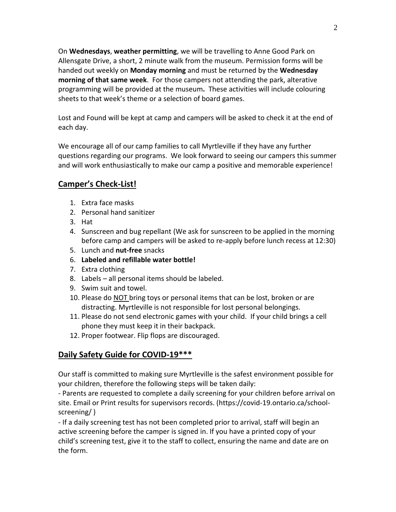On **Wednesdays**, **weather permitting**, we will be travelling to Anne Good Park on Allensgate Drive, a short, 2 minute walk from the museum. Permission forms will be handed out weekly on **Monday morning** and must be returned by the **Wednesday morning of that same week**. For those campers not attending the park, alterative programming will be provided at the museum**.** These activities will include colouring sheets to that week's theme or a selection of board games.

Lost and Found will be kept at camp and campers will be asked to check it at the end of each day.

We encourage all of our camp families to call Myrtleville if they have any further questions regarding our programs. We look forward to seeing our campers this summer and will work enthusiastically to make our camp a positive and memorable experience!

## **Camper's Check-List!**

- 1. Extra face masks
- 2. Personal hand sanitizer
- 3. Hat
- 4. Sunscreen and bug repellant (We ask for sunscreen to be applied in the morning before camp and campers will be asked to re-apply before lunch recess at 12:30)
- 5. Lunch and **nut-free** snacks
- 6. **Labeled and refillable water bottle!**
- 7. Extra clothing
- 8. Labels all personal items should be labeled.
- 9. Swim suit and towel.
- 10. Please do **NOT** bring toys or personal items that can be lost, broken or are distracting. Myrtleville is not responsible for lost personal belongings.
- 11. Please do not send electronic games with your child. If your child brings a cell phone they must keep it in their backpack.
- 12. Proper footwear. Flip flops are discouraged.

## **Daily Safety Guide for COVID-19\*\*\***

Our staff is committed to making sure Myrtleville is the safest environment possible for your children, therefore the following steps will be taken daily:

- Parents are requested to complete a daily screening for your children before arrival on site. Email or Print results for supervisors records. (https://covid-19.ontario.ca/schoolscreening/ )

- If a daily screening test has not been completed prior to arrival, staff will begin an active screening before the camper is signed in. If you have a printed copy of your child's screening test, give it to the staff to collect, ensuring the name and date are on the form.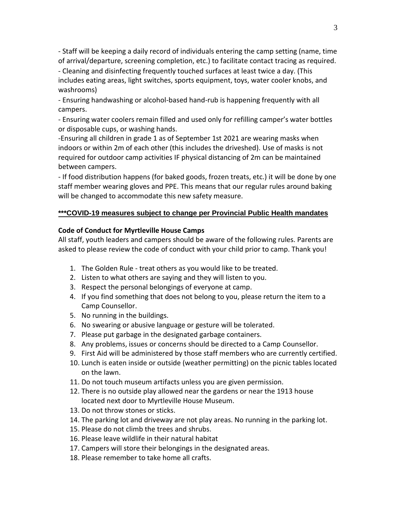- Staff will be keeping a daily record of individuals entering the camp setting (name, time of arrival/departure, screening completion, etc.) to facilitate contact tracing as required.

- Cleaning and disinfecting frequently touched surfaces at least twice a day. (This includes eating areas, light switches, sports equipment, toys, water cooler knobs, and washrooms)

- Ensuring handwashing or alcohol-based hand-rub is happening frequently with all campers.

- Ensuring water coolers remain filled and used only for refilling camper's water bottles or disposable cups, or washing hands.

-Ensuring all children in grade 1 as of September 1st 2021 are wearing masks when indoors or within 2m of each other (this includes the driveshed). Use of masks is not required for outdoor camp activities IF physical distancing of 2m can be maintained between campers.

- If food distribution happens (for baked goods, frozen treats, etc.) it will be done by one staff member wearing gloves and PPE. This means that our regular rules around baking will be changed to accommodate this new safety measure.

#### **\*\*\*COVID-19 measures subject to change per Provincial Public Health mandates**

#### **Code of Conduct for Myrtleville House Camps**

All staff, youth leaders and campers should be aware of the following rules. Parents are asked to please review the code of conduct with your child prior to camp. Thank you!

- 1. The Golden Rule treat others as you would like to be treated.
- 2. Listen to what others are saying and they will listen to you.
- 3. Respect the personal belongings of everyone at camp.
- 4. If you find something that does not belong to you, please return the item to a Camp Counsellor.
- 5. No running in the buildings.
- 6. No swearing or abusive language or gesture will be tolerated.
- 7. Please put garbage in the designated garbage containers.
- 8. Any problems, issues or concerns should be directed to a Camp Counsellor.
- 9. First Aid will be administered by those staff members who are currently certified.
- 10. Lunch is eaten inside or outside (weather permitting) on the picnic tables located on the lawn.
- 11. Do not touch museum artifacts unless you are given permission.
- 12. There is no outside play allowed near the gardens or near the 1913 house located next door to Myrtleville House Museum.
- 13. Do not throw stones or sticks.
- 14. The parking lot and driveway are not play areas. No running in the parking lot.
- 15. Please do not climb the trees and shrubs.
- 16. Please leave wildlife in their natural habitat
- 17. Campers will store their belongings in the designated areas.
- 18. Please remember to take home all crafts.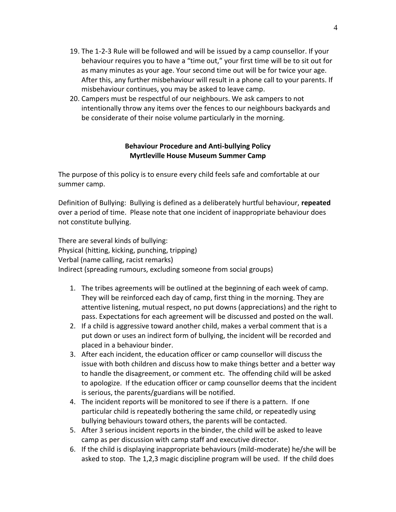- 19. The 1-2-3 Rule will be followed and will be issued by a camp counsellor. If your behaviour requires you to have a "time out," your first time will be to sit out for as many minutes as your age. Your second time out will be for twice your age. After this, any further misbehaviour will result in a phone call to your parents. If misbehaviour continues, you may be asked to leave camp.
- 20. Campers must be respectful of our neighbours. We ask campers to not intentionally throw any items over the fences to our neighbours backyards and be considerate of their noise volume particularly in the morning.

#### **Behaviour Procedure and Anti-bullying Policy Myrtleville House Museum Summer Camp**

The purpose of this policy is to ensure every child feels safe and comfortable at our summer camp.

Definition of Bullying: Bullying is defined as a deliberately hurtful behaviour, **repeated**  over a period of time. Please note that one incident of inappropriate behaviour does not constitute bullying.

There are several kinds of bullying: Physical (hitting, kicking, punching, tripping) Verbal (name calling, racist remarks) Indirect (spreading rumours, excluding someone from social groups)

- 1. The tribes agreements will be outlined at the beginning of each week of camp. They will be reinforced each day of camp, first thing in the morning. They are attentive listening, mutual respect, no put downs (appreciations) and the right to pass. Expectations for each agreement will be discussed and posted on the wall.
- 2. If a child is aggressive toward another child, makes a verbal comment that is a put down or uses an indirect form of bullying, the incident will be recorded and placed in a behaviour binder.
- 3. After each incident, the education officer or camp counsellor will discuss the issue with both children and discuss how to make things better and a better way to handle the disagreement, or comment etc. The offending child will be asked to apologize. If the education officer or camp counsellor deems that the incident is serious, the parents/guardians will be notified.
- 4. The incident reports will be monitored to see if there is a pattern. If one particular child is repeatedly bothering the same child, or repeatedly using bullying behaviours toward others, the parents will be contacted.
- 5. After 3 serious incident reports in the binder, the child will be asked to leave camp as per discussion with camp staff and executive director.
- 6. If the child is displaying inappropriate behaviours (mild-moderate) he/she will be asked to stop. The 1,2,3 magic discipline program will be used. If the child does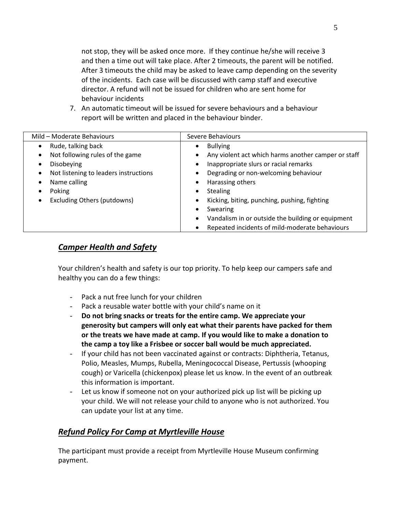not stop, they will be asked once more. If they continue he/she will receive 3 and then a time out will take place. After 2 timeouts, the parent will be notified. After 3 timeouts the child may be asked to leave camp depending on the severity of the incidents. Each case will be discussed with camp staff and executive director. A refund will not be issued for children who are sent home for behaviour incidents

7. An automatic timeout will be issued for severe behaviours and a behaviour report will be written and placed in the behaviour binder.

| Mild - Moderate Behaviours                 | Severe Behaviours                                      |
|--------------------------------------------|--------------------------------------------------------|
| Rude, talking back<br>$\bullet$            | <b>Bullying</b><br>$\bullet$                           |
| Not following rules of the game            | Any violent act which harms another camper or staff    |
| Disobeying                                 | Inappropriate slurs or racial remarks                  |
| Not listening to leaders instructions<br>٠ | Degrading or non-welcoming behaviour                   |
| Name calling                               | Harassing others                                       |
| Poking                                     | <b>Stealing</b>                                        |
| Excluding Others (putdowns)                | Kicking, biting, punching, pushing, fighting           |
|                                            | Swearing                                               |
|                                            | Vandalism in or outside the building or equipment<br>٠ |
|                                            | Repeated incidents of mild-moderate behaviours         |

### *Camper Health and Safety*

Your children's health and safety is our top priority. To help keep our campers safe and healthy you can do a few things:

- Pack a nut free lunch for your children
- Pack a reusable water bottle with your child's name on it
- **Do not bring snacks or treats for the entire camp. We appreciate your generosity but campers will only eat what their parents have packed for them or the treats we have made at camp. If you would like to make a donation to the camp a toy like a Frisbee or soccer ball would be much appreciated.**
- If your child has not been vaccinated against or contracts: Diphtheria, Tetanus, Polio, Measles, Mumps, Rubella, Meningococcal Disease, Pertussis (whooping cough) or Varicella (chickenpox) please let us know. In the event of an outbreak this information is important.
- Let us know if someone not on your authorized pick up list will be picking up your child. We will not release your child to anyone who is not authorized. You can update your list at any time.

### *Refund Policy For Camp at Myrtleville House*

The participant must provide a receipt from Myrtleville House Museum confirming payment.